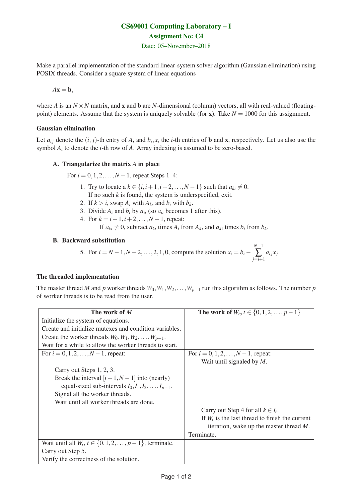Make a parallel implementation of the standard linear-system solver algorithm (Gaussian elimination) using POSIX threads. Consider a square system of linear equations

$$
A\mathbf{x}=\mathbf{b},
$$

where *A* is an  $N \times N$  matrix, and **x** and **b** are *N*-dimensional (column) vectors, all with real-valued (floatingpoint) elements. Assume that the system is uniquely solvable (for  $x$ ). Take  $N = 1000$  for this assignment.

## Gaussian elimination

Let  $a_{ij}$  denote the  $(i, j)$ -th entry of *A*, and  $b_i, x_i$  the *i*-th entries of **b** and **x**, respectively. Let us also use the symbol *A<sup>i</sup>* to denote the *i*-th row of *A*. Array indexing is assumed to be zero-based.

## A. Triangularize the matrix *A* in place

For  $i = 0, 1, 2, ..., N - 1$ , repeat Steps 1–4:

- 1. Try to locate a  $k \in \{i, i+1, i+2, \ldots, N-1\}$  such that  $a_{ki} \neq 0$ . If no such *k* is found, the system is underspecified, exit.
- 2. If  $k > i$ , swap  $A_i$  with  $A_k$ , and  $b_i$  with  $b_k$ .
- 3. Divide  $A_i$  and  $b_i$  by  $a_{ii}$  (so  $a_{ii}$  becomes 1 after this).
- 4. For  $k = i + 1, i + 2, \ldots, N 1$ , repeat:

If  $a_{ki} \neq 0$ , subtract  $a_{ki}$  times  $A_i$  from  $A_k$ , and  $a_{ki}$  times  $b_i$  from  $b_k$ .

## B. Backward substitution

5. For 
$$
i = N - 1, N - 2, ..., 2, 1, 0
$$
, compute the solution  $x_i = b_i - \sum_{j=i+1}^{N-1} a_{ij}x_j$ .

*N*−1

# The threaded implementation

The master thread *M* and *p* worker threads  $W_0, W_1, W_2, \ldots, W_{p-1}$  run this algorithm as follows. The number *p* of worker threads is to be read from the user.

| The work of M                                                        | The work of $W_t, t \in \{0, 1, 2, , p-1\}$       |
|----------------------------------------------------------------------|---------------------------------------------------|
| Initialize the system of equations.                                  |                                                   |
| Create and initialize mutexes and condition variables.               |                                                   |
| Create the worker threads $W_0, W_1, W_2, \ldots, W_{p-1}$ .         |                                                   |
| Wait for a while to allow the worker threads to start.               |                                                   |
| For $i = 0, 1, 2, , N - 1$ , repeat:                                 | For $i = 0, 1, 2, , N - 1$ , repeat:              |
|                                                                      | Wait until signaled by $M$ .                      |
| Carry out Steps 1, 2, 3.                                             |                                                   |
| Break the interval $[i+1, N-1]$ into (nearly)                        |                                                   |
| equal-sized sub-intervals $I_0, I_1, I_2, \ldots, I_{p-1}$ .         |                                                   |
| Signal all the worker threads.                                       |                                                   |
| Wait until all worker threads are done.                              |                                                   |
|                                                                      | Carry out Step 4 for all $k \in I_t$ .            |
|                                                                      | If $W_t$ is the last thread to finish the current |
|                                                                      | iteration, wake up the master thread $M$ .        |
|                                                                      | Terminate.                                        |
| Wait until all $W_t$ , $t \in \{0, 1, 2, \ldots, p-1\}$ , terminate. |                                                   |
| Carry out Step 5.                                                    |                                                   |
| Verify the correctness of the solution.                              |                                                   |